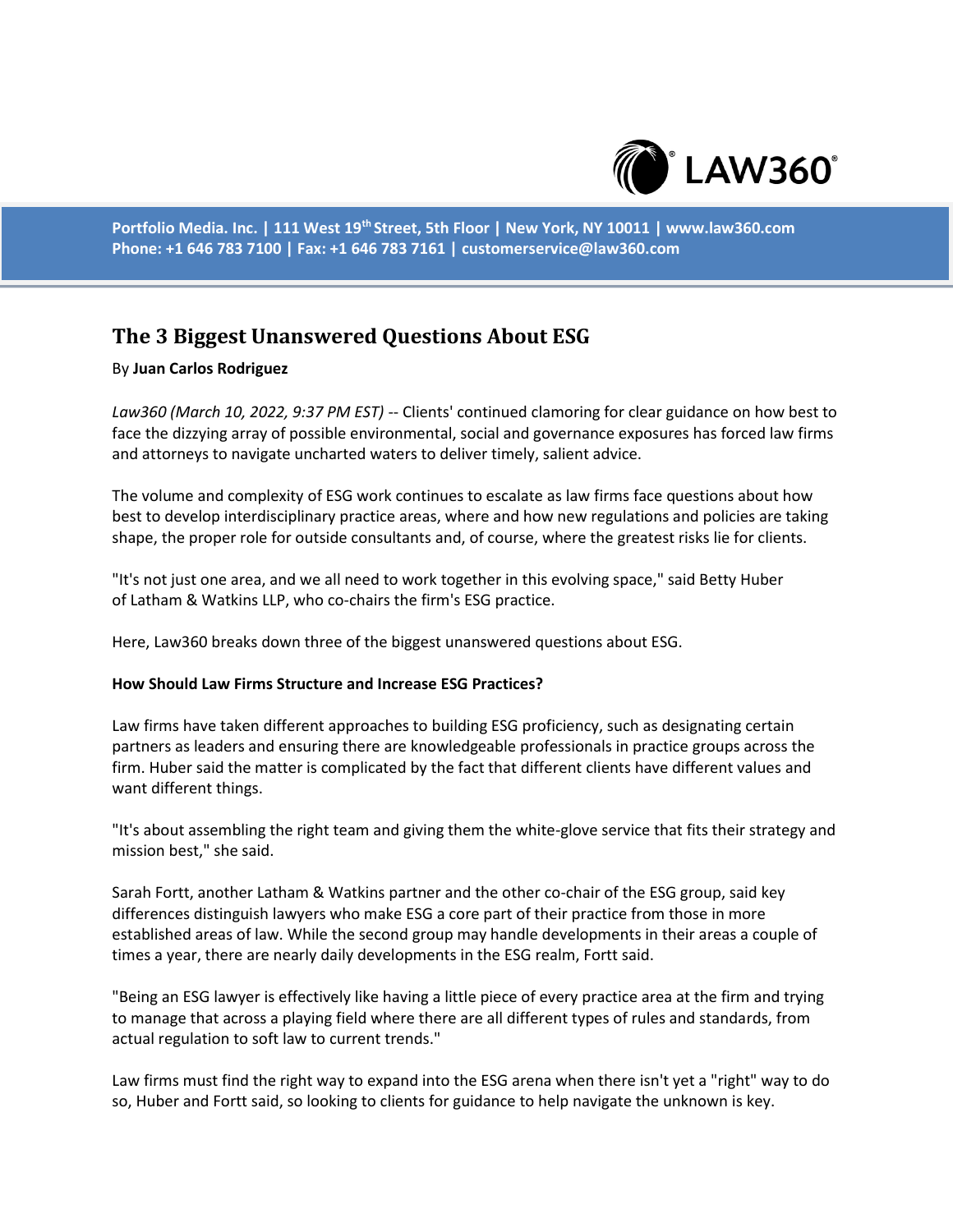

**Portfolio Media. Inc. | 111 West 19th Street, 5th Floor | New York, NY 10011 | www.law360.com Phone: +1 646 783 7100 | Fax: +1 646 783 7161 | customerservice@law360.com**

# **The 3 Biggest Unanswered Questions About ESG**

### By **Juan Carlos Rodriguez**

*Law360 (March 10, 2022, 9:37 PM EST)* -- Clients' continued clamoring for clear guidance on how best to face the dizzying array of possible environmental, social and governance exposures has forced law firms and attorneys to navigate uncharted waters to deliver timely, salient advice.

The volume and complexity of ESG work continues to escalate as law firms face questions about how best to develop interdisciplinary practice areas, where and how new regulations and policies are taking shape, the proper role for outside consultants and, of course, where the greatest risks lie for clients.

"It's not just one area, and we all need to work together in this evolving space," said Betty Huber of Latham & Watkins LLP, who co-chairs the firm's ESG practice.

Here, Law360 breaks down three of the biggest unanswered questions about ESG.

#### **How Should Law Firms Structure and Increase ESG Practices?**

Law firms have taken different approaches to building ESG proficiency, such as designating certain partners as leaders and ensuring there are knowledgeable professionals in practice groups across the firm. Huber said the matter is complicated by the fact that different clients have different values and want different things.

"It's about assembling the right team and giving them the white-glove service that fits their strategy and mission best," she said.

Sarah Fortt, another Latham & Watkins partner and the other co-chair of the ESG group, said key differences distinguish lawyers who make ESG a core part of their practice from those in more established areas of law. While the second group may handle developments in their areas a couple of times a year, there are nearly daily developments in the ESG realm, Fortt said.

"Being an ESG lawyer is effectively like having a little piece of every practice area at the firm and trying to manage that across a playing field where there are all different types of rules and standards, from actual regulation to soft law to current trends."

Law firms must find the right way to expand into the ESG arena when there isn't yet a "right" way to do so, Huber and Fortt said, so looking to clients for guidance to help navigate the unknown is key.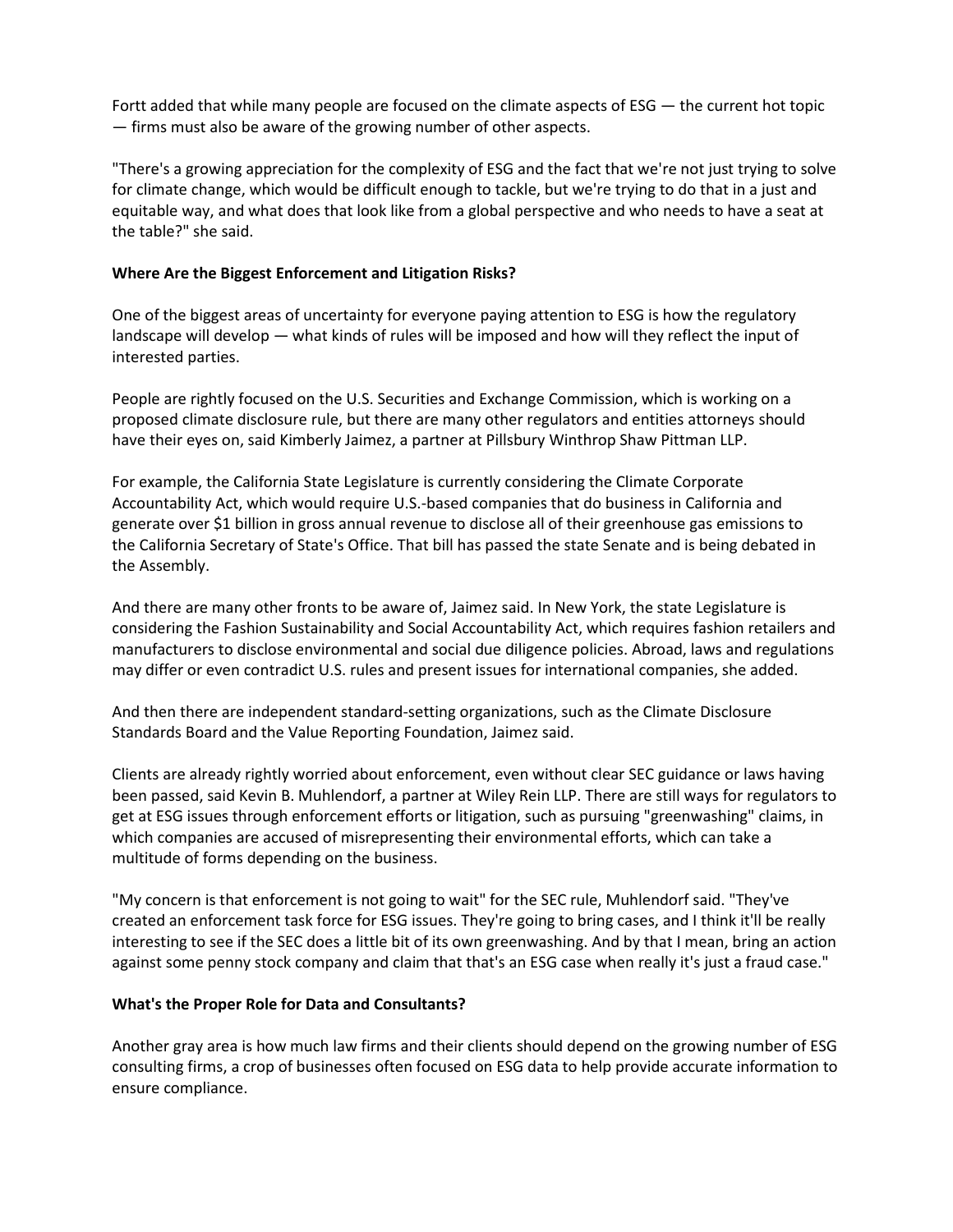Fortt added that while many people are focused on the climate aspects of ESG — the current hot topic — firms must also be aware of the growing number of other aspects.

"There's a growing appreciation for the complexity of ESG and the fact that we're not just trying to solve for climate change, which would be difficult enough to tackle, but we're trying to do that in a just and equitable way, and what does that look like from a global perspective and who needs to have a seat at the table?" she said.

## **Where Are the Biggest Enforcement and Litigation Risks?**

One of the biggest areas of uncertainty for everyone paying attention to ESG is how the regulatory landscape will develop — what kinds of rules will be imposed and how will they reflect the input of interested parties.

People are rightly focused on the U.S. Securities and Exchange Commission, which is working on a proposed climate disclosure rule, but there are many other regulators and entities attorneys should have their eyes on, said Kimberly Jaimez, a partner at Pillsbury Winthrop Shaw Pittman LLP.

For example, the California State Legislature is currently considering the Climate Corporate Accountability Act, which would require U.S.-based companies that do business in California and generate over \$1 billion in gross annual revenue to disclose all of their greenhouse gas emissions to the California Secretary of State's Office. That bill has passed the state Senate and is being debated in the Assembly.

And there are many other fronts to be aware of, Jaimez said. In New York, the state Legislature is considering the Fashion Sustainability and Social Accountability Act, which requires fashion retailers and manufacturers to disclose environmental and social due diligence policies. Abroad, laws and regulations may differ or even contradict U.S. rules and present issues for international companies, she added.

And then there are independent standard-setting organizations, such as the Climate Disclosure Standards Board and the Value Reporting Foundation, Jaimez said.

Clients are already rightly worried about enforcement, even without clear SEC guidance or laws having been passed, said Kevin B. Muhlendorf, a partner at Wiley Rein LLP. There are still ways for regulators to get at ESG issues through enforcement efforts or litigation, such as pursuing "greenwashing" claims, in which companies are accused of misrepresenting their environmental efforts, which can take a multitude of forms depending on the business.

"My concern is that enforcement is not going to wait" for the SEC rule, Muhlendorf said. "They've created an enforcement task force for ESG issues. They're going to bring cases, and I think it'll be really interesting to see if the SEC does a little bit of its own greenwashing. And by that I mean, bring an action against some penny stock company and claim that that's an ESG case when really it's just a fraud case."

#### **What's the Proper Role for Data and Consultants?**

Another gray area is how much law firms and their clients should depend on the growing number of ESG consulting firms, a crop of businesses often focused on ESG data to help provide accurate information to ensure compliance.